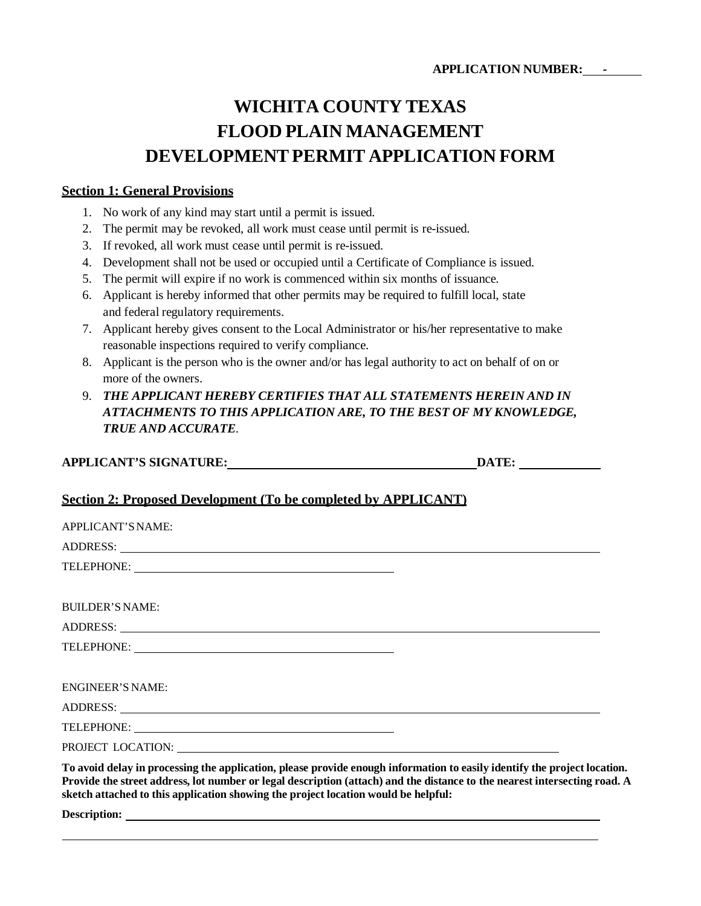# **WICHITA COUNTY TEXAS FLOOD PLAIN MANAGEMENT DEVELOPMENT PERMIT APPLICATION FORM**

#### **Section 1: General Provisions**

- 1. No work of any kind may start until a permit is issued.
- 2. The permit may be revoked, all work must cease until permit is re-issued.
- 3. If revoked, all work must cease until permit is re-issued.
- 4. Development shall not be used or occupied until a Certificate of Compliance is issued.
- 5. The permit will expire if no work is commenced within six months of issuance.
- 6. Applicant is hereby informed that other permits may be required to fulfill local, state and federal regulatory requirements.
- 7. Applicant hereby gives consent to the Local Administrator or his/her representative to make reasonable inspections required to verify compliance.
- 8. Applicant is the person who is the owner and/or has legal authority to act on behalf of on or more of the owners.

# 9. *THE APPLICANT HEREBY CERTIFIES THAT ALL STATEMENTS HEREIN AND IN ATTACHMENTS TO THIS APPLICATION ARE, TO THE BEST OF MY KNOWLEDGE, TRUE AND ACCURATE*.

| <b>APPLICANT'S SIGNATURE:</b> | <b>DATE:</b> |  |
|-------------------------------|--------------|--|
|                               |              |  |

### **Section 2: Proposed Development (To be completed by APPLICANT)**

| APPLICANT'S NAME:                                                                                                                                                                                                                                                                                                                           |
|---------------------------------------------------------------------------------------------------------------------------------------------------------------------------------------------------------------------------------------------------------------------------------------------------------------------------------------------|
| ADDRESS: New York Contract the Contract of the Contract of the Contract of the Contract of the Contract of the Contract of the Contract of the Contract of the Contract of the Contract of the Contract of the Contract of the                                                                                                              |
|                                                                                                                                                                                                                                                                                                                                             |
|                                                                                                                                                                                                                                                                                                                                             |
| <b>BUILDER'S NAME:</b>                                                                                                                                                                                                                                                                                                                      |
| ADDRESS: New York Contract the Contract of the Contract of the Contract of the Contract of the Contract of the Contract of the Contract of the Contract of the Contract of the Contract of the Contract of the Contract of the                                                                                                              |
|                                                                                                                                                                                                                                                                                                                                             |
|                                                                                                                                                                                                                                                                                                                                             |
| <b>ENGINEER'S NAME:</b>                                                                                                                                                                                                                                                                                                                     |
|                                                                                                                                                                                                                                                                                                                                             |
|                                                                                                                                                                                                                                                                                                                                             |
|                                                                                                                                                                                                                                                                                                                                             |
| To avoid delay in processing the application, please provide enough information to easily identify the project location.<br>Provide the street address, lot number or legal description (attach) and the distance to the nearest intersecting road. A<br>sketch attached to this application showing the project location would be helpful: |

**Description:**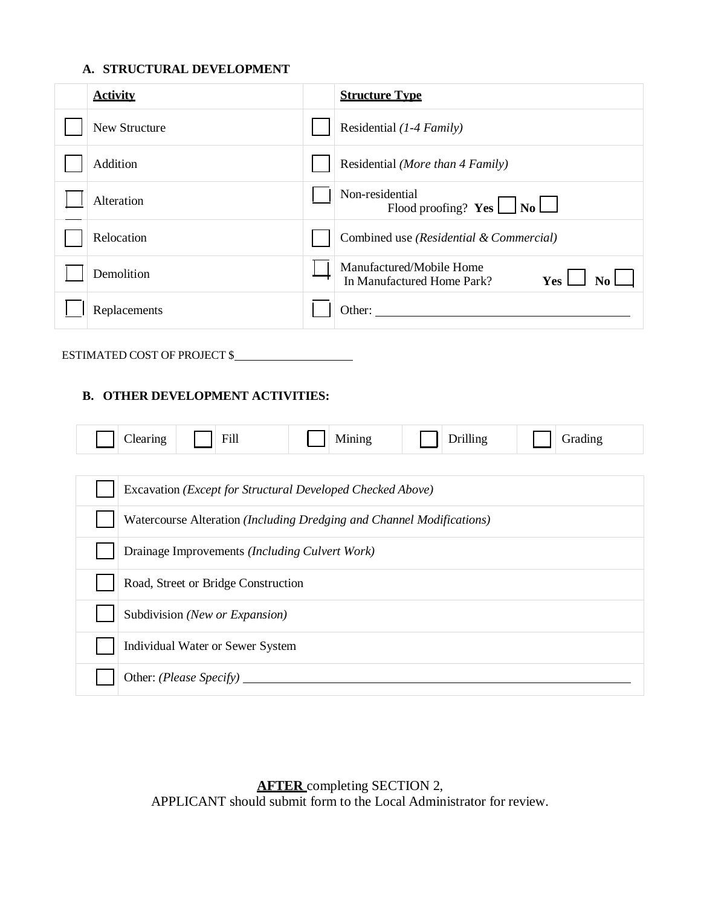#### **A. STRUCTURAL DEVELOPMENT**

| <b>Activity</b> | <b>Structure Type</b>                                                 |
|-----------------|-----------------------------------------------------------------------|
| New Structure   | Residential (1-4 Family)                                              |
| Addition        | Residential (More than 4 Family)                                      |
| Alteration      | Non-residential<br>Flood proofing? $Yes \Box No \Box$                 |
| Relocation      | Combined use (Residential & Commercial)                               |
| Demolition      | Manufactured/Mobile Home<br>In Manufactured Home Park?<br>Yes 1<br>No |
| Replacements    | Other:                                                                |

# ESTIMATED COST OF PROJECT \$

### **B. OTHER DEVELOPMENT ACTIVITIES:**

| Fill<br>Clearing                                                      | Mining | <b>Drilling</b> | Grading |  |
|-----------------------------------------------------------------------|--------|-----------------|---------|--|
|                                                                       |        |                 |         |  |
| Excavation (Except for Structural Developed Checked Above)            |        |                 |         |  |
| Watercourse Alteration (Including Dredging and Channel Modifications) |        |                 |         |  |
| Drainage Improvements (Including Culvert Work)                        |        |                 |         |  |
| Road, Street or Bridge Construction                                   |        |                 |         |  |
| Subdivision (New or Expansion)                                        |        |                 |         |  |
| Individual Water or Sewer System                                      |        |                 |         |  |
| Other: (Please Specify)                                               |        |                 |         |  |

**AFTER** completing SECTION 2, APPLICANT should submit form to the Local Administrator for review.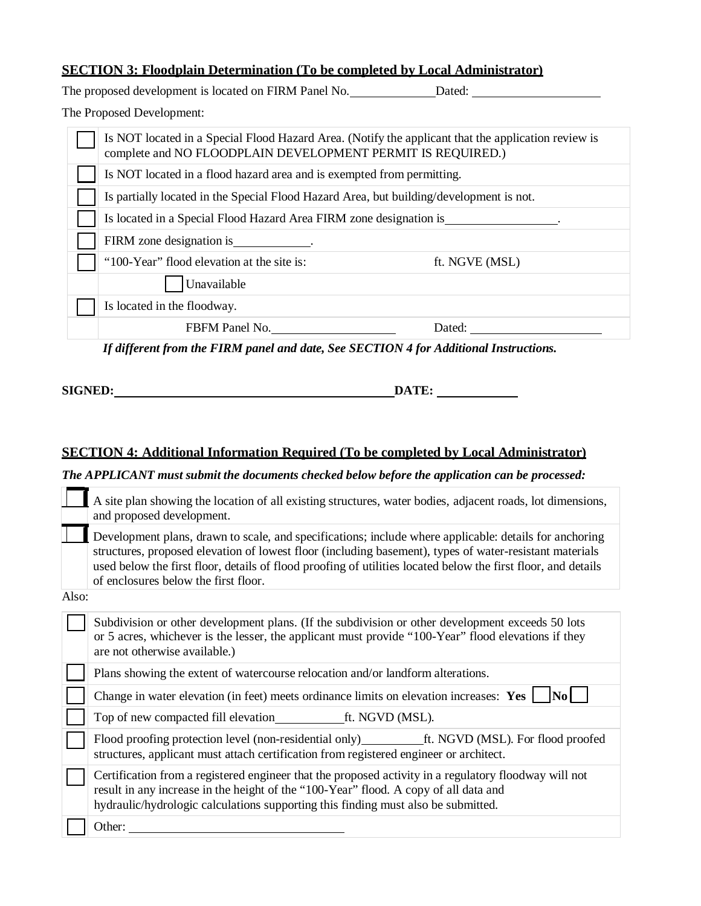## **SECTION 3: Floodplain Determination (To be completed by Local Administrator)**

The proposed development is located on FIRM Panel No. Dated: Dated:

The Proposed Development:

| Is NOT located in a Special Flood Hazard Area. (Notify the applicant that the application review is<br>complete and NO FLOODPLAIN DEVELOPMENT PERMIT IS REQUIRED.) |                |  |  |
|--------------------------------------------------------------------------------------------------------------------------------------------------------------------|----------------|--|--|
| Is NOT located in a flood hazard area and is exempted from permitting.                                                                                             |                |  |  |
| Is partially located in the Special Flood Hazard Area, but building/development is not.                                                                            |                |  |  |
| Is located in a Special Flood Hazard Area FIRM zone designation is                                                                                                 |                |  |  |
| FIRM zone designation is _____________.                                                                                                                            |                |  |  |
| "100-Year" flood elevation at the site is:                                                                                                                         | ft. NGVE (MSL) |  |  |
| Unavailable                                                                                                                                                        |                |  |  |
| Is located in the floodway.                                                                                                                                        |                |  |  |
| FBFM Panel No.                                                                                                                                                     | Dated:         |  |  |

*If different from the FIRM panel and date, See SECTION 4 for Additional Instructions.*

**SIGNER: DATE:**  $\qquad \qquad \bullet$ 

# **SECTION 4: Additional Information Required (To be completed by Local Administrator)**

*The APPLICANT must submit the documents checked below before the application can be processed:*

|       | A site plan showing the location of all existing structures, water bodies, adjacent roads, lot dimensions,<br>and proposed development.                                                                                                                                                                                                                                    |
|-------|----------------------------------------------------------------------------------------------------------------------------------------------------------------------------------------------------------------------------------------------------------------------------------------------------------------------------------------------------------------------------|
|       | Development plans, drawn to scale, and specifications; include where applicable: details for anchoring<br>structures, proposed elevation of lowest floor (including basement), types of water-resistant materials<br>used below the first floor, details of flood proofing of utilities located below the first floor, and details<br>of enclosures below the first floor. |
| Also: |                                                                                                                                                                                                                                                                                                                                                                            |
|       | Subdivision or other development plans. (If the subdivision or other development exceeds 50 lots<br>or 5 acres, whichever is the lesser, the applicant must provide "100-Year" flood elevations if they<br>are not otherwise available.)                                                                                                                                   |
|       |                                                                                                                                                                                                                                                                                                                                                                            |
|       | Plans showing the extent of watercourse relocation and/or landform alterations.                                                                                                                                                                                                                                                                                            |
|       | Change in water elevation (in feet) meets ordinance limits on elevation increases: Yes<br> No                                                                                                                                                                                                                                                                              |
|       | Top of new compacted fill elevation ft. NGVD (MSL).                                                                                                                                                                                                                                                                                                                        |
|       | structures, applicant must attach certification from registered engineer or architect.                                                                                                                                                                                                                                                                                     |
|       | Certification from a registered engineer that the proposed activity in a regulatory floodway will not<br>result in any increase in the height of the "100-Year" flood. A copy of all data and<br>hydraulic/hydrologic calculations supporting this finding must also be submitted.                                                                                         |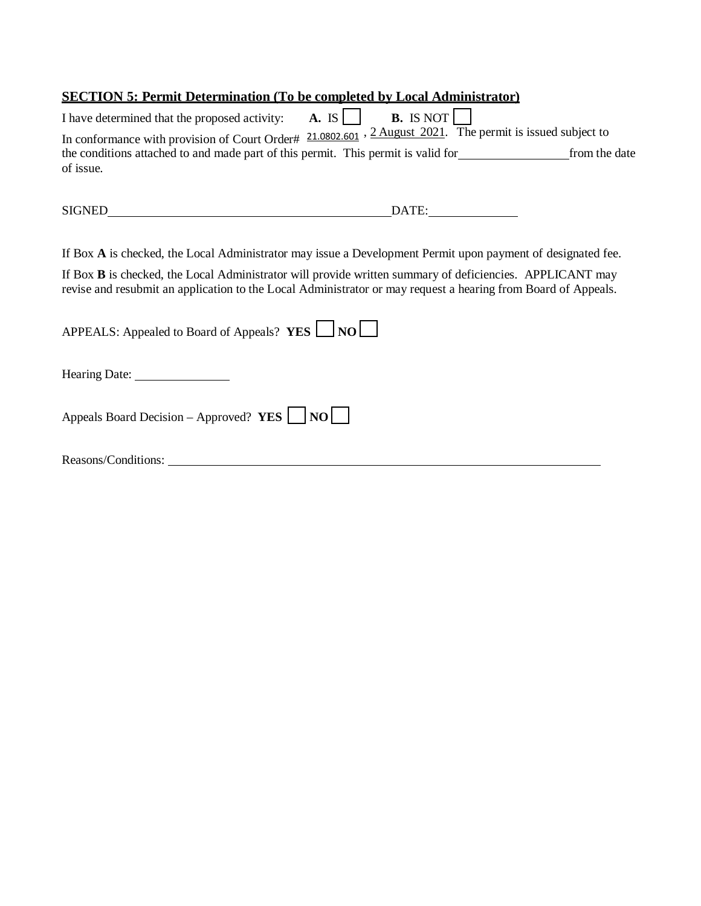# **SECTION 5: Permit Determination (To be completed by Local Administrator)**

| I have determined that the proposed activity:                                                                            | A. IS | <b>B.</b> IS NOT $\vert$ |               |
|--------------------------------------------------------------------------------------------------------------------------|-------|--------------------------|---------------|
| In conformance with provision of Court Order# $21.0802.601$ , $2 \text{ August } 2021$ . The permit is issued subject to |       |                          |               |
| the conditions attached to and made part of this permit. This permit is valid for                                        |       |                          | from the date |
| of issue.                                                                                                                |       |                          |               |
|                                                                                                                          |       |                          |               |

SIGNED DATE:

If Box **A** is checked, the Local Administrator may issue a Development Permit upon payment of designated fee.

If Box **B** is checked, the Local Administrator will provide written summary of deficiencies. APPLICANT may revise and resubmit an application to the Local Administrator or may request a hearing from Board of Appeals.

| APPEALS: Appealed to Board of Appeals? $YES$ $\Box$ NO $\Box$ |
|---------------------------------------------------------------|
|                                                               |
| Appeals Board Decision – Approved? YES $\vert$ NO $\vert$     |
| Reasons/Conditions:                                           |